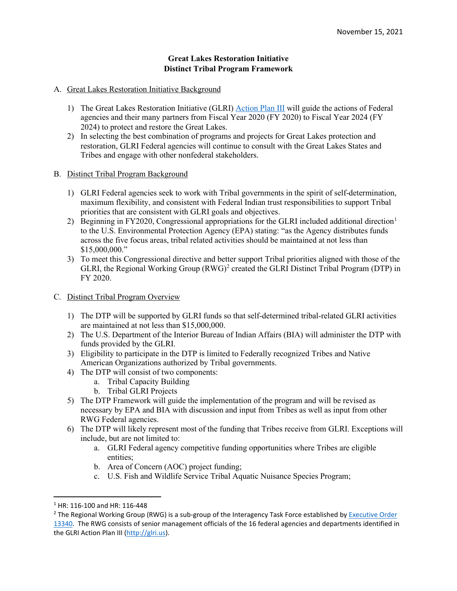## **Great Lakes Restoration Initiative Distinct Tribal Program Framework**

## A. Great Lakes Restoration Initiative Background

- agencies and their many partners from Fiscal Year 2020 (FY 2020) to Fiscal Year 2024 (FY 1) The Great Lakes Restoration Initiative (GLRI[\) Action Plan III](https://www.epa.gov/sites/production/files/2019-10/documents/glri-action-plan-3-201910-30pp.pdf) will guide the actions of Federal 2024) to protect and restore the Great Lakes.
- 2) In selecting the best combination of programs and projects for Great Lakes protection and restoration, GLRI Federal agencies will continue to consult with the Great Lakes States and Tribes and engage with other nonfederal stakeholders.
- B. Distinct Tribal Program Background
	- 1) GLRI Federal agencies seek to work with Tribal governments in the spirit of self-determination, maximum flexibility, and consistent with Federal Indian trust responsibilities to support Tribal priorities that are consistent with GLRI goals and objectives.
	- 2) Beginning in FY2020, Congressional appropriations for the GLRI included additional direction<sup>1</sup> to the U.S. Environmental Protection Agency (EPA) stating: "as the Agency distributes funds across the five focus areas, tribal related activities should be maintained at not less than \$15,000,000."
	- 3) To meet this Congressional directive and better support Tribal priorities aligned with those of the GLRI, the Regional Working Group (RWG)<sup>2</sup> created the GLRI Distinct Tribal Program (DTP) in FY 2020.
- C. Distinct Tribal Program Overview
	- 1) The DTP will be supported by GLRI funds so that self-determined tribal-related GLRI activities are maintained at not less than \$15,000,000.
	- 2) The U.S. Department of the Interior Bureau of Indian Affairs (BIA) will administer the DTP with funds provided by the GLRI.
	- 3) Eligibility to participate in the DTP is limited to Federally recognized Tribes and Native American Organizations authorized by Tribal governments.
	- 4) The DTP will consist of two components:
		- a. Tribal Capacity Building
		- b. Tribal GLRI Projects
	- 5) The DTP Framework will guide the implementation of the program and will be revised as necessary by EPA and BIA with discussion and input from Tribes as well as input from other RWG Federal agencies.
	- 6) The DTP will likely represent most of the funding that Tribes receive from GLRI. Exceptions will include, but are not limited to:
		- a. GLRI Federal agency competitive funding opportunities where Tribes are eligible entities;
		- b. Area of Concern (AOC) project funding;
		- c. U.S. Fish and Wildlife Service Tribal Aquatic Nuisance Species Program;

<span id="page-0-1"></span><span id="page-0-0"></span>[<sup>13340.</sup>](https://www.govinfo.gov/app/details/WCPD-2004-05-24/WCPD-2004-05-24-Pg918-2) The RWG consists of senior management officials of the 16 federal agencies and departments identified in <sup>1</sup> HR: 116-100 and HR: 116-448<br><sup>2</sup> The Regional Working Group (RWG) is a sub-group of the Interagency Task Force established by Executive Order the GLRI Action Plan III [\(http://glri.us\)](http://glri.us/).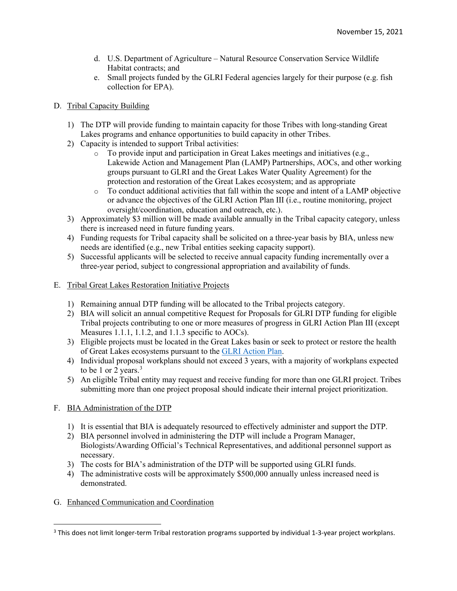- d. U.S. Department of Agriculture Natural Resource Conservation Service Wildlife Habitat contracts; and
- e. Small projects funded by the GLRI Federal agencies largely for their purpose (e.g. fish collection for EPA).
- D. Tribal Capacity Building
	- Lakes programs and enhance opportunities to build capacity in other Tribes. 1) The DTP will provide funding to maintain capacity for those Tribes with long-standing Great
	- 2) Capacity is intended to support Tribal activities:
		- o To provide input and participation in Great Lakes meetings and initiatives (e.g., Lakewide Action and Management Plan (LAMP) Partnerships, AOCs, and other working groups pursuant to GLRI and the Great Lakes Water Quality Agreement) for the protection and restoration of the Great Lakes ecosystem; and as appropriate
		- o To conduct additional activities that fall within the scope and intent of a LAMP objective or advance the objectives of the GLRI Action Plan III (i.e., routine monitoring, project oversight/coordination, education and outreach, etc.).
	- 3) Approximately \$3 million will be made available annually in the Tribal capacity category, unless there is increased need in future funding years.
	- 4) Funding requests for Tribal capacity shall be solicited on a three-year basis by BIA, unless new needs are identified (e.g., new Tribal entities seeking capacity support).
	- 5) Successful applicants will be selected to receive annual capacity funding incrementally over a three-year period, subject to congressional appropriation and availability of funds.
- E. Tribal Great Lakes Restoration Initiative Projects
	- 1) Remaining annual DTP funding will be allocated to the Tribal projects category.
	- Tribal projects contributing to one or more measures of progress in GLRI Action Plan III (except 2) BIA will solicit an annual competitive Request for Proposals for GLRI DTP funding for eligible Measures 1.1.1, 1.1.2, and 1.1.3 specific to AOCs).
	- 3) Eligible projects must be located in the Great Lakes basin or seek to protect or restore the health of Great Lakes ecosystems pursuant to the **GLRI Action Plan**.
	- 4) Individual proposal workplans should not exceed 3 years, with a majority of workplans expected to be 1 or 2 years.<sup>3</sup>
	- 5) An eligible Tribal entity may request and receive funding for more than one GLRI project. Tribes submitting more than one project proposal should indicate their internal project prioritization.
- F. BIA Administration of the DTP
	- 1) It is essential that BIA is adequately resourced to effectively administer and support the DTP.
	- 2) BIA personnel involved in administering the DTP will include a Program Manager, Biologists/Awarding Official's Technical Representatives, and additional personnel support as necessary.
	- 3) The costs for BIA's administration of the DTP will be supported using GLRI funds.
	- 4) The administrative costs will be approximately \$500,000 annually unless increased need is demonstrated.
- G. Enhanced Communication and Coordination

<span id="page-1-0"></span><sup>&</sup>lt;sup>3</sup> This does not limit longer-term Tribal restoration programs supported by individual 1-3-year project workplans.